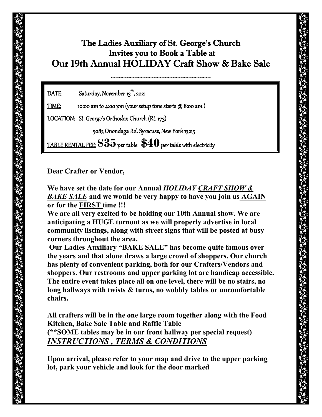## The Ladies Auxiliary of St. George's Church Invites you to Book a Table at Our 19th Annual HOLIDAY Craft Show & Bake Sale

~~~~~~~~~~~~~~~~~~~~~~~~~~~~~~~~~~~~~

DATE: Saturday, November 13<sup>th</sup>, 2021

 $\underline{\text{TIME:}}$  10:00 am to 4:00 pm (your setup time starts @ 8:00 am )

LOCATION: St. George's Orthodox Church (Rt. 173)

5083 Onondaga Rd. Syracuse, New York 13215

TABLE RENTAL FEE: **\$35** per table **\$40** per table with electricity

**Dear Crafter or Vendor,** 

**We have set the date for our Annual** *HOLIDAY CRAFT SHOW & BAKE SALE* **and we would be very happy to have you join us AGAIN or for the FIRST time !!!**

**We are all very excited to be holding our 10th Annual show. We are anticipating a HUGE turnout as we will properly advertise in local community listings, along with street signs that will be posted at busy corners throughout the area.** 

**Our Ladies Auxiliary "BAKE SALE" has become quite famous over the years and that alone draws a large crowd of shoppers. Our church has plenty of convenient parking, both for our Crafters/Vendors and shoppers. Our restrooms and upper parking lot are handicap accessible. The entire event takes place all on one level, there will be no stairs, no long hallways with twists & turns, no wobbly tables or uncomfortable chairs.**

**All crafters will be in the one large room together along with the Food Kitchen, Bake Sale Table and Raffle Table (\*\*SOME tables may be in our front hallway per special request)** *INSTRUCTIONS , TERMS & CONDITIONS*

**Upon arrival, please refer to your map and drive to the upper parking lot, park your vehicle and look for the door marked**